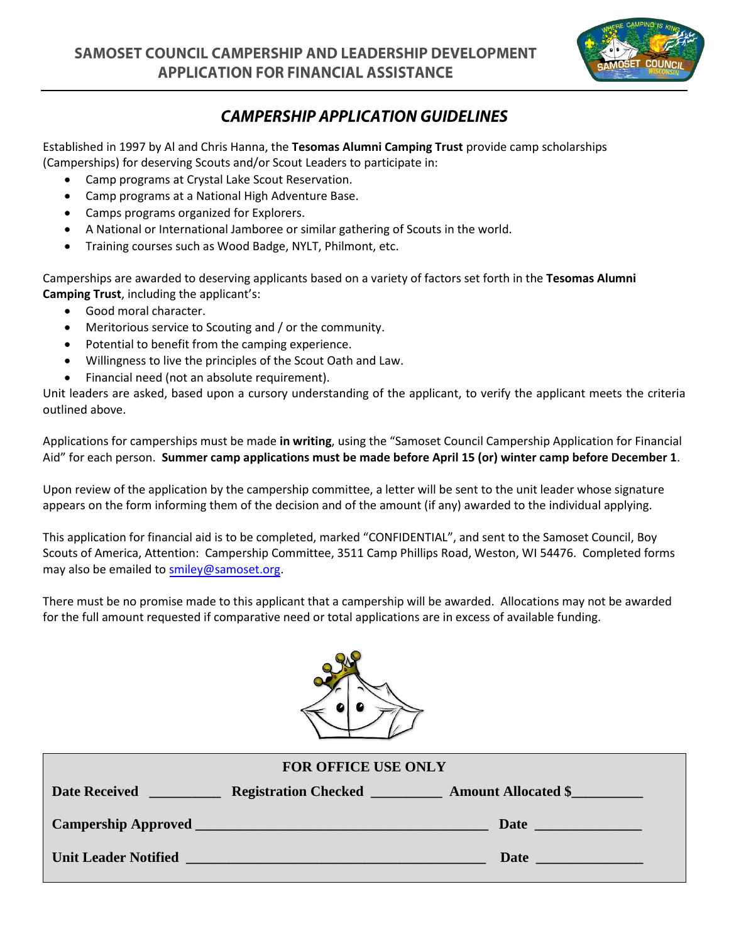

## **CAMPERSHIP APPLICATION GUIDELINES**

Established in 1997 by Al and Chris Hanna, the **Tesomas Alumni Camping Trust** provide camp scholarships (Camperships) for deserving Scouts and/or Scout Leaders to participate in:

- Camp programs at Crystal Lake Scout Reservation.
- Camp programs at a National High Adventure Base.
- Camps programs organized for Explorers.
- A National or International Jamboree or similar gathering of Scouts in the world.
- Training courses such as Wood Badge, NYLT, Philmont, etc.

Camperships are awarded to deserving applicants based on a variety of factors set forth in the **Tesomas Alumni Camping Trust**, including the applicant's:

- Good moral character.
- Meritorious service to Scouting and / or the community.
- Potential to benefit from the camping experience.
- Willingness to live the principles of the Scout Oath and Law.
- Financial need (not an absolute requirement).

Unit leaders are asked, based upon a cursory understanding of the applicant, to verify the applicant meets the criteria outlined above.

Applications for camperships must be made **in writing**, using the "Samoset Council Campership Application for Financial Aid" for each person. **Summer camp applications must be made before April 15 (or) winter camp before December 1**.

Upon review of the application by the campership committee, a letter will be sent to the unit leader whose signature appears on the form informing them of the decision and of the amount (if any) awarded to the individual applying.

This application for financial aid is to be completed, marked "CONFIDENTIAL", and sent to the Samoset Council, Boy Scouts of America, Attention: Campership Committee, 3511 Camp Phillips Road, Weston, WI 54476. Completed forms may also be emailed to smiley@samoset.org.

There must be no promise made to this applicant that a campership will be awarded. Allocations may not be awarded for the full amount requested if comparative need or total applications are in excess of available funding.



| <b>FOR OFFICE USE ONLY</b>                                                                                                                   |                                                                                                                                                                                                                                      |  |  |  |  |
|----------------------------------------------------------------------------------------------------------------------------------------------|--------------------------------------------------------------------------------------------------------------------------------------------------------------------------------------------------------------------------------------|--|--|--|--|
| <b>Date Received</b><br><u> Antonio de la contrada de la propia de la propia de la propia de la propia de la propia de la propia de la p</u> |                                                                                                                                                                                                                                      |  |  |  |  |
|                                                                                                                                              |                                                                                                                                                                                                                                      |  |  |  |  |
|                                                                                                                                              | Unit Leader Notified <u>New York and the set of the set of the set of the set of the set of the set of the set of the set of the set of the set of the set of the set of the set of the set of the set of the set of the set of </u> |  |  |  |  |